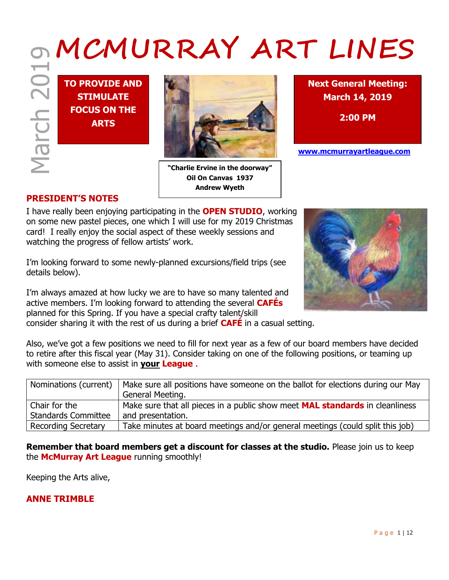# **MCMURRAY ART LINES**

**TO PROVIDE AND STIMULATE FOCUS ON THE ARTS**



**"Charlie Ervine in the doorway" Oil On Canvas 1937 Andrew Wyeth**

**Next General Meeting: March 14, 2019**

**2:00 PM**

**www.mcmurrayartleague.com**

# **PRESIDENT'S NOTES**

I have really been enjoying participating in the **OPEN STUDIO**, working on some new pastel pieces, one which I will use for my 2019 Christmas card! I really enjoy the social aspect of these weekly sessions and watching the progress of fellow artists' work.

I'm looking forward to some newly-planned excursions/field trips (see details below).

I'm always amazed at how lucky we are to have so many talented and active members. I'm looking forward to attending the several **CAFÉs** planned for this Spring. If you have a special crafty talent/skill

consider sharing it with the rest of us during a brief **CAFÉ** in a casual setting.

Also, we've got a few positions we need to fill for next year as a few of our board members have decided to retire after this fiscal year (May 31). Consider taking on one of the following positions, or teaming up with someone else to assist in **your League** .

| Nominations (current)      | Make sure all positions have someone on the ballot for elections during our May                  |
|----------------------------|--------------------------------------------------------------------------------------------------|
|                            | General Meeting.                                                                                 |
| Chair for the              | <sup>I</sup> Make sure that all pieces in a public show meet <b>MAL standards</b> in cleanliness |
| <b>Standards Committee</b> | and presentation.                                                                                |
| <b>Recording Secretary</b> | Take minutes at board meetings and/or general meetings (could split this job)                    |

**Remember that board members get a discount for classes at the studio.** Please join us to keep the **McMurray Art League** running smoothly!

Keeping the Arts alive,

## **ANNE TRIMBLE**

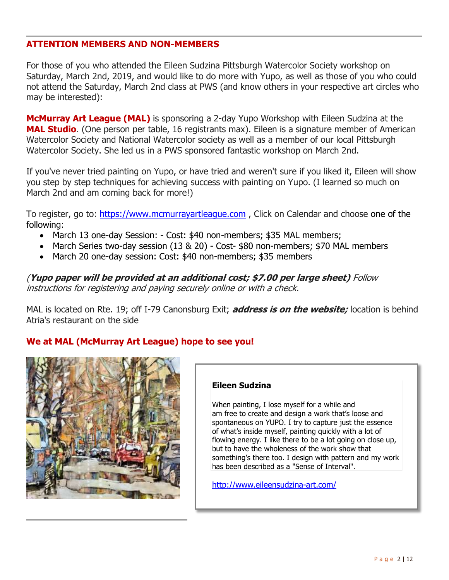## **ATTENTION MEMBERS AND NON-MEMBERS**

For those of you who attended the Eileen Sudzina Pittsburgh Watercolor Society workshop on Saturday, March 2nd, 2019, and would like to do more with Yupo, as well as those of you who could not attend the Saturday, March 2nd class at PWS (and know others in your respective art circles who may be interested):

**McMurray Art League (MAL)** is sponsoring a 2-day Yupo Workshop with Eileen Sudzina at the **MAL Studio**. (One person per table, 16 registrants max). Eileen is a signature member of American Watercolor Society and National Watercolor society as well as a member of our local Pittsburgh Watercolor Society. She led us in a PWS sponsored fantastic workshop on March 2nd.

If you've never tried painting on Yupo, or have tried and weren't sure if you liked it, Eileen will show you step by step techniques for achieving success with painting on Yupo. (I learned so much on March 2nd and am coming back for more!)

To register, go to: [https://www.mcmurrayartleague.com](https://www.mcmurrayartleague.com/) , Click on Calendar and choose one of the following:

- March 13 one-day Session: Cost: \$40 non-members; \$35 MAL members;
- March Series two-day session (13 & 20) Cost- \$80 non-members; \$70 MAL members
- March 20 one-day session: Cost: \$40 non-members; \$35 members

(**Yupo paper will be provided at an additional cost; \$7.00 per large sheet)** Follow instructions for registering and paying securely online or with a check.

MAL is located on Rte. 19; off I-79 Canonsburg Exit; **address is on the website;** location is behind Atria's restaurant on the side

# **We at MAL (McMurray Art League) hope to see you!**



#### **Eileen Sudzina**

When painting, I lose myself for a while and am free to create and design a work that's loose and spontaneous on YUPO. I try to capture just the essence of what's inside myself, painting quickly with a lot of flowing energy. I like there to be a lot going on close up, but to have the wholeness of the work show that something's there too. I design with pattern and my work has been described as a "Sense of Interval".

http://www.eileensudzina-art.com/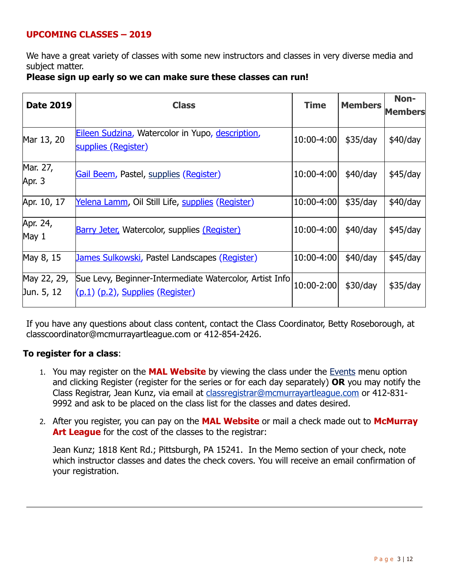# **UPCOMING CLASSES – 2019**

We have a great variety of classes with some new instructors and classes in very diverse media and subject matter.

## **Please sign up early so we can make sure these classes can run!**

| <b>Date 2019</b>          | <b>Class</b>                                                                                     | <b>Time</b> | <b>Members</b> | Non-<br>Members |
|---------------------------|--------------------------------------------------------------------------------------------------|-------------|----------------|-----------------|
| Mar 13, 20                | <b>Eileen Sudzina, Watercolor in Yupo, description,</b><br>supplies (Register)                   | 10:00-4:00  | \$35/day       | \$40/day        |
| Mar. 27,<br>Apr. 3        | Gail Beem, Pastel, supplies (Register)                                                           | 10:00-4:00  | \$40/day       | $$45$ /day      |
| Apr. 10, 17               | Yelena Lamm, Oil Still Life, supplies (Register)                                                 | 10:00-4:00  | \$35/day       | \$40/day        |
| Apr. 24,<br>May 1         | Barry Jeter, Watercolor, supplies (Register)                                                     | 10:00-4:00  | \$40/day       | $$45$ /day      |
| May 8, 15                 | <u>James Sulkowski</u> , Pastel Landscapes (Register)                                            | 10:00-4:00  | \$40/day       | $$45$ /day      |
| May 22, 29,<br>Jun. 5, 12 | Sue Levy, Beginner-Intermediate Watercolor, Artist Info<br>$(p.1)$ $(p.2)$ , Supplies (Register) | 10:00-2:00  | \$30/day       | \$35/day        |

If you have any questions about class content, contact the Class Coordinator, Betty Roseborough, at classcoordinator@mcmurrayartleague.com or 412-854-2426.

## **To register for a class**:

- 1. You may register on the **MAL Website** by viewing the class under the [Events](https://www.mcmurrayartleague.com/page-1498580) menu option and clicking Register (register for the series or for each day separately) **OR** you may notify the Class Registrar, Jean Kunz, via email at [classregistrar@mcmurrayartleague.com](mailto:classregistrar@mcmurrayartleague.com) or 412-831- 9992 and ask to be placed on the class list for the classes and dates desired.
- 2. After you register, you can pay on the **MAL Website** or mail a check made out to **McMurray Art League** for the cost of the classes to the registrar:

Jean Kunz; 1818 Kent Rd.; Pittsburgh, PA 15241. In the Memo section of your check, note which instructor classes and dates the check covers. You will receive an email confirmation of your registration.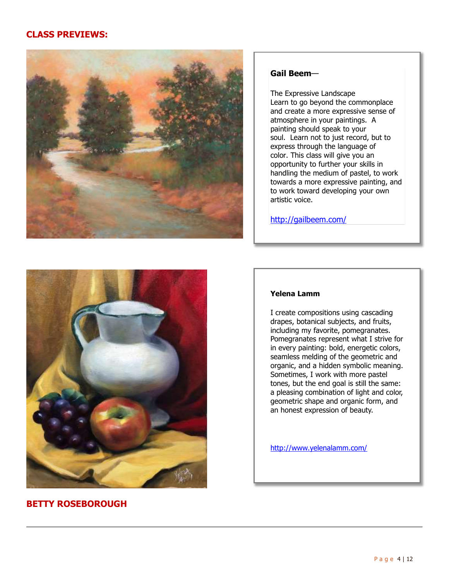## **CLASS PREVIEWS:**



#### **Gail Beem**—

The Expressive Landscape Learn to go beyond the commonplace and create a more expressive sense of atmosphere in your paintings. A painting should speak to your soul. Learn not to just record, but to express through the language of color. This class will give you an opportunity to further your skills in handling the medium of pastel, to work towards a more expressive painting, and to work toward developing your own artistic voice.

http://gailbeem.com/



## **BETTY ROSEBOROUGH**

#### **Yelena Lamm**

I create compositions using cascading drapes, botanical subjects, and fruits, including my favorite, pomegranates. Pomegranates represent what I strive for in every painting: bold, energetic colors, seamless melding of the geometric and organic, and a hidden symbolic meaning. Sometimes, I work with more pastel tones, but the end goal is still the same: a pleasing combination of light and color, geometric shape and organic form, and an honest expression of beauty.

http://www.yelenalamm.com/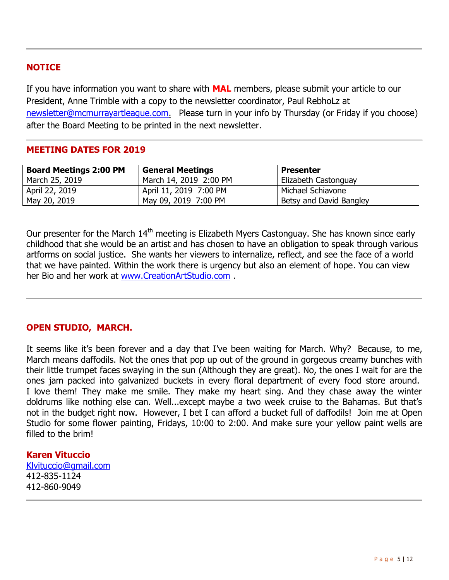## **NOTICE**

If you have information you want to share with **MAL** members, please submit your article to our President, Anne Trimble with a copy to the newsletter coordinator, Paul RebhoLz at [newsletter@mcmurrayartleague.com.](mailto:newsletter@mcmurrayartleague.com)Please turn in your info by Thursday (or Friday if you choose) after the Board Meeting to be printed in the next newsletter.

## **MEETING DATES FOR 2019**

| <b>Board Meetings 2:00 PM</b> | <b>General Meetings</b> | <b>Presenter</b>        |
|-------------------------------|-------------------------|-------------------------|
| March 25, 2019                | March 14, 2019 2:00 PM  | Elizabeth Castonguay    |
| April 22, 2019                | April 11, 2019 7:00 PM  | Michael Schiavone       |
| May 20, 2019                  | May 09, 2019 7:00 PM    | Betsy and David Bangley |

Our presenter for the March 14<sup>th</sup> meeting is Elizabeth Myers Castonguay. She has known since early childhood that she would be an artist and has chosen to have an obligation to speak through various artforms on social justice. She wants her viewers to internalize, reflect, and see the face of a world that we have painted. Within the work there is urgency but also an element of hope. You can view her Bio and her work at [www.CreationArtStudio.com](file:///C:/Users/prebh/Desktop/MAL%20Newsletters/2019-03%20Newsletter/www.CreationArtStudio.com) .

# **OPEN STUDIO, MARCH.**

It seems like it's been forever and a day that I've been waiting for March. Why? Because, to me, March means daffodils. Not the ones that pop up out of the ground in gorgeous creamy bunches with their little trumpet faces swaying in the sun (Although they are great). No, the ones I wait for are the ones jam packed into galvanized buckets in every floral department of every food store around. I love them! They make me smile. They make my heart sing. And they chase away the winter doldrums like nothing else can. Well...except maybe a two week cruise to the Bahamas. But that's not in the budget right now. However, I bet I can afford a bucket full of daffodils! Join me at Open Studio for some flower painting, Fridays, 10:00 to 2:00. And make sure your yellow paint wells are filled to the brim!

## **Karen Vituccio**

[Klvituccio@gmail.com](mailto:Klvituccio@gmail.com) 412-835-1124 412-860-9049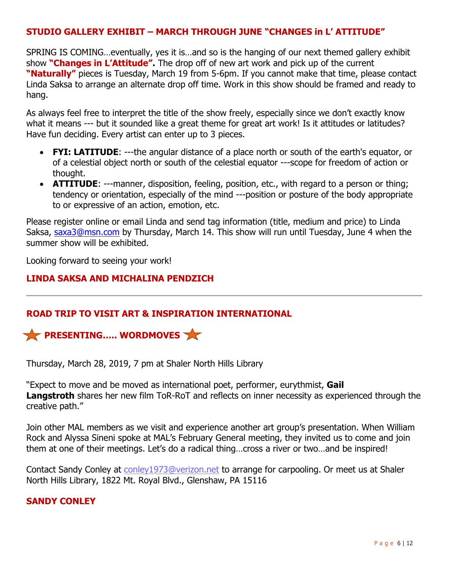# **STUDIO GALLERY EXHIBIT – MARCH THROUGH JUNE "CHANGES in L' ATTITUDE"**

SPRING IS COMING…eventually, yes it is…and so is the hanging of our next themed gallery exhibit show **"Changes in L'Attitude".** The drop off of new art work and pick up of the current **"Naturally"** pieces is Tuesday, March 19 from 5-6pm. If you cannot make that time, please contact Linda Saksa to arrange an alternate drop off time. Work in this show should be framed and ready to hang.

As always feel free to interpret the title of the show freely, especially since we don't exactly know what it means --- but it sounded like a great theme for great art work! Is it attitudes or latitudes? Have fun deciding. Every artist can enter up to 3 pieces.

- **FYI: LATITUDE:** ---the angular distance of a place north or south of the earth's equator, or of a celestial object north or south of the celestial equator ---scope for freedom of action or thought.
- **ATTITUDE**: ---manner, disposition, feeling, position, etc., with regard to a person or thing; tendency or orientation, especially of the mind ---position or posture of the body appropriate to or expressive of an action, emotion, etc.

Please register online or email Linda and send tag information (title, medium and price) to Linda Saksa, [saxa3@msn.com](mailto:saxa3@msn.com) by Thursday, March 14. This show will run until Tuesday, June 4 when the summer show will be exhibited.

Looking forward to seeing your work!

## **LINDA SAKSA AND MICHALINA PENDZICH**

## **ROAD TRIP TO VISIT ART & INSPIRATION INTERNATIONAL**



Thursday, March 28, 2019, 7 pm at Shaler North Hills Library

―Expect to move and be moved as international poet, performer, eurythmist, **Gail Langstroth** shares her new film ToR-RoT and reflects on inner necessity as experienced through the creative path.‖

Join other MAL members as we visit and experience another art group's presentation. When William Rock and Alyssa Sineni spoke at MAL's February General meeting, they invited us to come and join them at one of their meetings. Let's do a radical thing…cross a river or two…and be inspired!

Contact Sandy Conley at [conley1973@verizon.net](mailto:conley1973@verizon.net) to arrange for carpooling. Or meet us at Shaler North Hills Library, 1822 Mt. Royal Blvd., Glenshaw, PA 15116

## **SANDY CONLEY**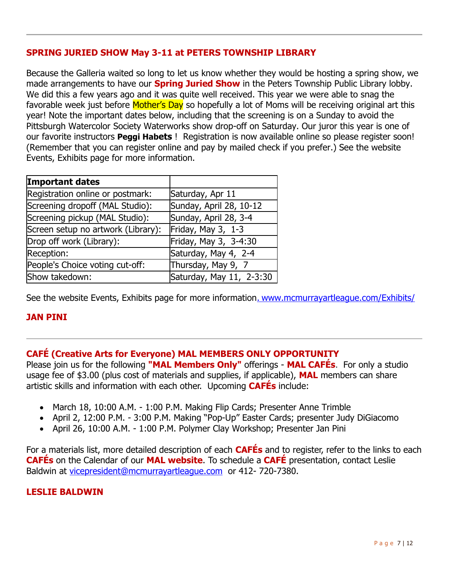# **SPRING JURIED SHOW May 3-11 at PETERS TOWNSHIP LIBRARY**

Because the Galleria waited so long to let us know whether they would be hosting a spring show, we made arrangements to have our **Spring Juried Show** in the Peters Township Public Library lobby. We did this a few years ago and it was quite well received. This year we were able to snag the favorable week just before Mother's Day so hopefully a lot of Moms will be receiving original art this year! Note the important dates below, including that the screening is on a Sunday to avoid the Pittsburgh Watercolor Society Waterworks show drop-off on Saturday. Our juror this year is one of our favorite instructors **Peggi Habets** ! Registration is now available online so please register soon! (Remember that you can register online and pay by mailed check if you prefer.) See the website Events, Exhibits page for more information.

| <b>Important dates</b>             |                          |
|------------------------------------|--------------------------|
| Registration online or postmark:   | Saturday, Apr 11         |
| Screening dropoff (MAL Studio):    | Sunday, April 28, 10-12  |
| Screening pickup (MAL Studio):     | Sunday, April 28, 3-4    |
| Screen setup no artwork (Library): | Friday, May 3, 1-3       |
| Drop off work (Library):           | Friday, May 3, 3-4:30    |
| Reception:                         | Saturday, May 4, 2-4     |
| People's Choice voting cut-off:    | Thursday, May 9, 7       |
| Show takedown:                     | Saturday, May 11, 2-3:30 |

See the website Events, Exhibits page for more information. [www.mcmurrayartleague.com/Exhibits/](file:///C:/Users/prebh/Desktop/www.mcmurrayartleague.com/Exhibits/)

# **JAN PINI**

## **CAFÉ (Creative Arts for Everyone) MAL MEMBERS ONLY OPPORTUNITY**

Please join us for the following **"MAL Members Only"** offerings - **MAL CAFÉs**. For only a studio usage fee of \$3.00 (plus cost of materials and supplies, if applicable), **MAL** members can share artistic skills and information with each other. Upcoming **CAFÉs** include:

- March 18, 10:00 A.M. 1:00 P.M. Making Flip Cards; Presenter Anne Trimble
- April 2, 12:00 P.M. 3:00 P.M. Making "Pop-Up" Easter Cards; presenter Judy DiGiacomo
- April 26, 10:00 A.M. 1:00 P.M. Polymer Clay Workshop; Presenter Jan Pini

For a materials list, more detailed description of each **CAFÉs** and to register, refer to the links to each **CAFÉs** on the Calendar of our **MAL website**. To schedule a **CAFÉ** presentation, contact Leslie Baldwin at [vicepresident@mcmurrayartleague.com](mailto:vicepresident@mcmurrayartleague.com) or 412- 720-7380.

## **LESLIE BALDWIN**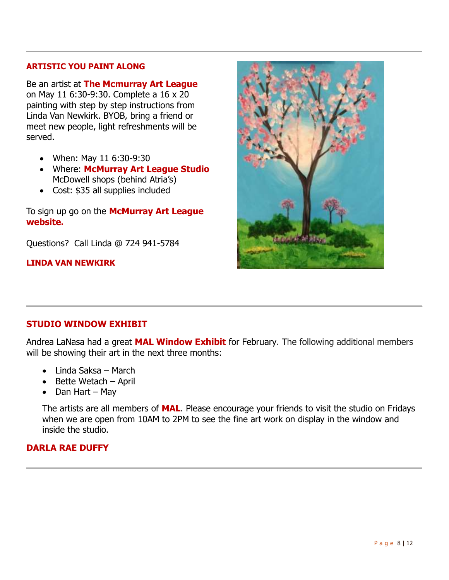#### **ARTISTIC YOU PAINT ALONG**

Be an artist at **The Mcmurray Art League** on May 11 6:30-9:30. Complete a 16 x 20 painting with step by step instructions from Linda Van Newkirk. BYOB, bring a friend or meet new people, light refreshments will be served.

- When: May 11 6:30-9:30
- Where: **McMurray Art League Studio** McDowell shops (behind Atria's)
- Cost: \$35 all supplies included

To sign up go on the **McMurray Art League website.**

Questions? Call Linda @ 724 941-5784

**LINDA VAN NEWKIRK**



## **STUDIO WINDOW EXHIBIT**

Andrea LaNasa had a great **MAL Window Exhibit** for February. The following additional members will be showing their art in the next three months:

- Linda Saksa March
- $\bullet$  Bette Wetach April
- $\bullet$  Dan Hart May

The artists are all members of **MAL**. Please encourage your friends to visit the studio on Fridays when we are open from 10AM to 2PM to see the fine art work on display in the window and inside the studio.

## **DARLA RAE DUFFY**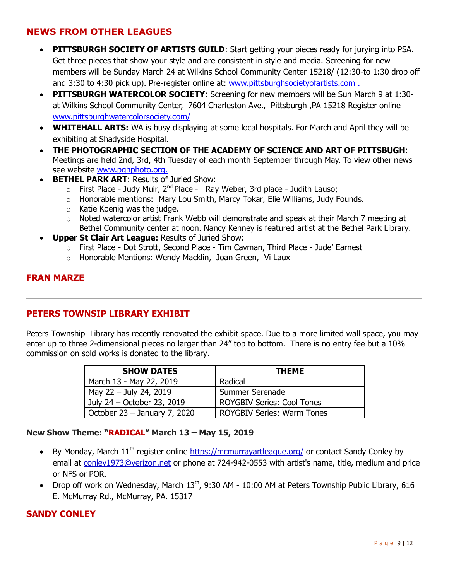## **NEWS FROM OTHER LEAGUES**

- **PITTSBURGH SOCIETY OF ARTISTS GUILD:** Start getting your pieces ready for jurying into PSA. Get three pieces that show your style and are consistent in style and media. Screening for new members will be Sunday March 24 at Wilkins School Community Center 15218/ (12:30-to 1:30 drop off and 3:30 to 4:30 pick up). Pre-register online at: [www.pittsburghsocietyofartists.com](http://www.pittsburghsocietyofartists.com/) .
- **PITTSBURGH WATERCOLOR SOCIETY:** Screening for new members will be Sun March 9 at 1:30at Wilkins School Community Center, 7604 Charleston Ave., Pittsburgh ,PA 15218 Register online [www.pittsburghwatercolorsociety.com/](http://www.pittsburghwatercolorsociety.com/)
- **WHITEHALL ARTS:** WA is busy displaying at some local hospitals. For March and April they will be exhibiting at Shadyside Hospital.
- **THE PHOTOGRAPHIC SECTION OF THE ACADEMY OF SCIENCE AND ART OF PITTSBUGH**: Meetings are held 2nd, 3rd, 4th Tuesday of each month September through May. To view other news see website [www.pghphoto.org.](file:///C:/Users/prebh/Desktop/MAL%20Newsletters/2019-03%20Newsletter/www.pghphoto.org)
- **BETHEL PARK ART: Results of Juried Show:** 
	- $\circ$  First Place Judy Muir, 2<sup>nd</sup> Place Ray Weber, 3rd place Judith Lauso;
	- o Honorable mentions: Mary Lou Smith, Marcy Tokar, Elie Williams, Judy Founds.
	- $\circ$  Katie Koenig was the judge.
	- $\circ$  Noted watercolor artist Frank Webb will demonstrate and speak at their March 7 meeting at Bethel Community center at noon. Nancy Kenney is featured artist at the Bethel Park Library.
- **Upper St Clair Art League:** Results of Juried Show:
	- o First Place Dot Strott, Second Place Tim Cavman, Third Place Jude' Earnest
	- o Honorable Mentions: Wendy Macklin, Joan Green, Vi Laux

#### **FRAN MARZE**

## **PETERS TOWNSIP LIBRARY EXHIBIT**

Peters Township Library has recently renovated the exhibit space. Due to a more limited wall space, you may enter up to three 2-dimensional pieces no larger than 24" top to bottom. There is no entry fee but a 10% commission on sold works is donated to the library.

| <b>SHOW DATES</b>              | <b>THEME</b>                      |
|--------------------------------|-----------------------------------|
| March 13 - May 22, 2019        | Radical                           |
| May $22 -$ July 24, 2019       | Summer Serenade                   |
| July 24 - October 23, 2019     | <b>ROYGBIV Series: Cool Tones</b> |
| October $23 -$ January 7, 2020 | <b>ROYGBIV Series: Warm Tones</b> |

#### **New Show Theme: "RADICAL" March 13 – May 15, 2019**

- By Monday, March  $11<sup>th</sup>$  register online <https://mcmurrayartleague.org/> or contact Sandy Conley by email at [conley1973@verizon.net](mailto:conley1973@verizon.net) or phone at 724-942-0553 with artist's name, title, medium and price or NFS or POR.
- Drop off work on Wednesday, March  $13<sup>th</sup>$ , 9:30 AM 10:00 AM at Peters Township Public Library, 616 E. McMurray Rd., McMurray, PA. 15317

## **SANDY CONLEY**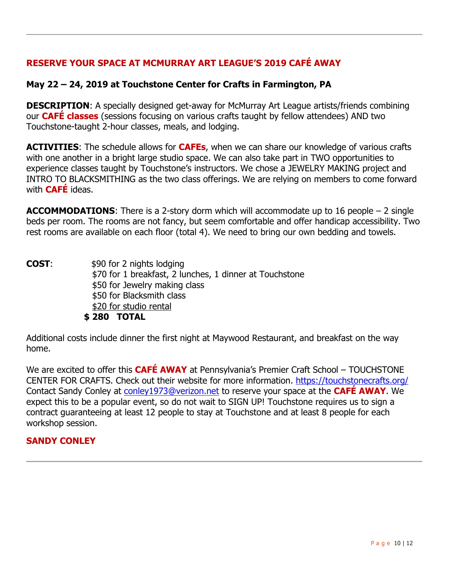# **RESERVE YOUR SPACE AT MCMURRAY ART LEAGUE'S 2019 CAFÉ AWAY**

# **May 22 – 24, 2019 at Touchstone Center for Crafts in Farmington, PA**

**DESCRIPTION:** A specially designed get-away for McMurray Art League artists/friends combining our **CAFÉ classes** (sessions focusing on various crafts taught by fellow attendees) AND two Touchstone-taught 2-hour classes, meals, and lodging.

**ACTIVITIES**: The schedule allows for **CAFEs**, when we can share our knowledge of various crafts with one another in a bright large studio space. We can also take part in TWO opportunities to experience classes taught by Touchstone's instructors. We chose a JEWELRY MAKING project and INTRO TO BLACKSMITHING as the two class offerings. We are relying on members to come forward with **CAFÉ** ideas.

**ACCOMMODATIONS**: There is a 2-story dorm which will accommodate up to 16 people – 2 single beds per room. The rooms are not fancy, but seem comfortable and offer handicap accessibility. Two rest rooms are available on each floor (total 4). We need to bring our own bedding and towels.

**COST:** \$90 for 2 nights lodging \$70 for 1 breakfast, 2 lunches, 1 dinner at Touchstone \$50 for Jewelry making class \$50 for Blacksmith class \$20 for studio rental **\$ 280 TOTAL**

Additional costs include dinner the first night at Maywood Restaurant, and breakfast on the way home.

We are excited to offer this **CAFÉ AWAY** at Pennsylvania's Premier Craft School – TOUCHSTONE CENTER FOR CRAFTS. Check out their website for more information. <https://touchstonecrafts.org/> Contact Sandy Conley at [conley1973@verizon.net](mailto:conley1973@verizon.net) to reserve your space at the **CAFÉ AWAY**. We expect this to be a popular event, so do not wait to SIGN UP! Touchstone requires us to sign a contract guaranteeing at least 12 people to stay at Touchstone and at least 8 people for each workshop session.

# **SANDY CONLEY**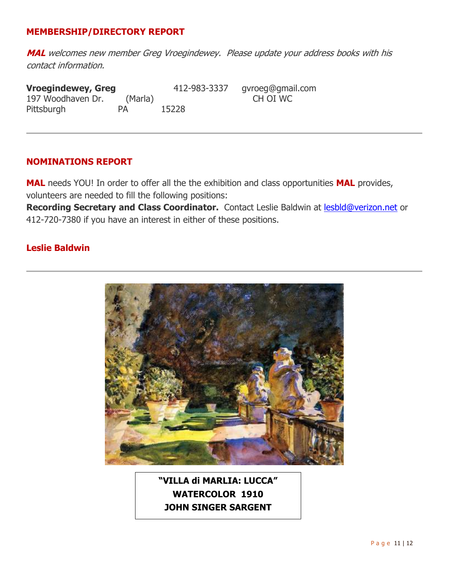## **MEMBERSHIP/DIRECTORY REPORT**

**MAL** welcomes new member Greg Vroegindewey. Please update your address books with his contact information.

**Vroegindewey, Greg** 412-983-3337 gvroeg@gmail.com<br>197 Woodhaven Dr. (Marla) CH OI WC 197 Woodhaven Dr. (Marla) Pittsburgh PA 15228

#### **NOMINATIONS REPORT**

**MAL** needs YOU! In order to offer all the the exhibition and class opportunities **MAL** provides, volunteers are needed to fill the following positions:

**Recording Secretary and Class Coordinator.** Contact Leslie Baldwin at [lesbld@verizon.net](mailto:lesbld@verizon.net) or 412-720-7380 if you have an interest in either of these positions.

## **Leslie Baldwin**



**"VILLA di MARLIA: LUCCA" WATERCOLOR 1910 JOHN SINGER SARGENT**